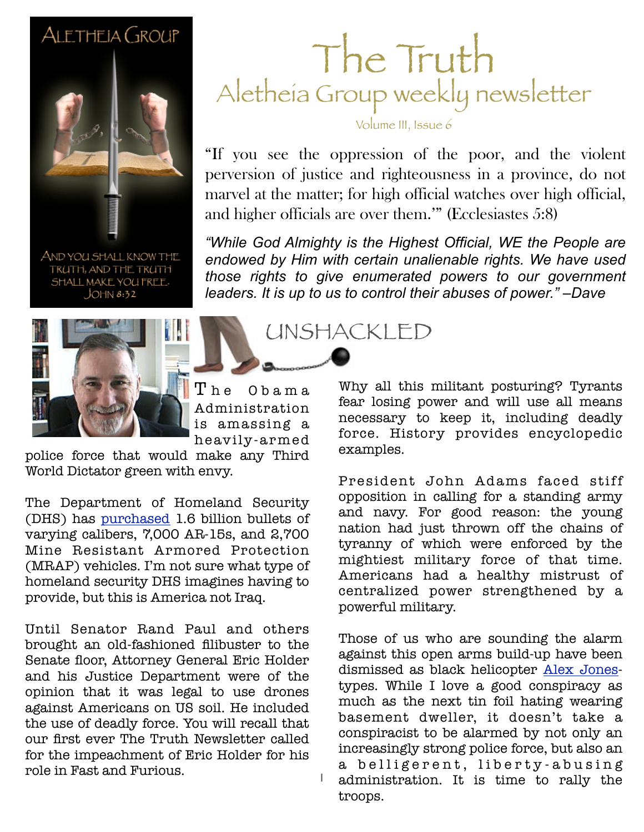#### ALETHEIA GROUP



AND YOU SHALL KNOW THE TRUTH, AND THE TRUTH SHALL MAKE YOU FREE- $JOHN 8:32$ 



#### The Obama Administration is amassing a heavily-ar med

police force that would make any Third World Dictator green with envy.

The Department of Homeland Security (DHS) has [purchased](http://news.investors.com/ibd-editorials/030513-646857-dhs-buys-special-armored-fighting-vehicles.htm?p=full) 1.6 billion bullets of varying calibers, 7,000 AR-15s, and 2,700 Mine Resistant Armored Protection (MRAP) vehicles. I'm not sure what type of homeland security DHS imagines having to provide, but this is America not Iraq.

Until Senator Rand Paul and others brought an old-fashioned filibuster to the Senate floor, Attorney General Eric Holder and his Justice Department were of the opinion that it was legal to use drones against Americans on US soil. He included the use of deadly force. You will recall that our first ever The Truth Newsletter called for the impeachment of Eric Holder for his role in Fast and Furious.

#### The Truth Aletheia Group weekly newsletter

Volume III, Issue 6

"If you see the oppression of the poor, and the violent perversion of justice and righteousness in a province, do not marvel at the matter; for high official watches over high official, and higher officials are over them.'" (Ecclesiastes 5:8)

"While God Almighty is the Highest Official, WE the People are *endowed by Him with certain unalienable rights. We have used those rights to give enumerated powers to our government leaders. It is up to us to control their abuses of power." –Dave*

examples.

UNSHACKLED

Why all this militant posturing? Tyrants fear losing power and will use all means necessary to keep it, including deadly force. History provides encyclopedic

President John Adams faced stiff opposition in calling for a standing army and navy. For good reason: the young nation had just thrown off the chains of tyranny of which were enforced by the mightiest military force of that time. Americans had a healthy mistrust of centralized power strengthened by a powerful military.

Those of us who are sounding the alarm against this open arms build-up have been dismissed as black helicopter [Alex Jones](http://www.infowars.com/listen-on-the-internet/)types. While I love a good conspiracy as much as the next tin foil hating wearing basement dweller, it doesn't take a conspiracist to be alarmed by not only an increasingly strong police force, but also an a belligerent, liberty-abusing administration. It is time to rally the troops.

1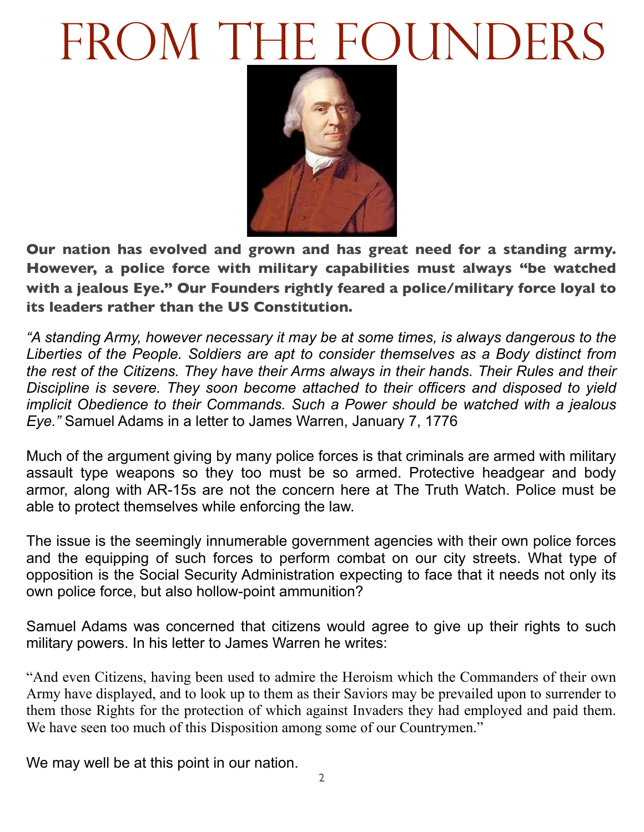# FROM THE FOUNDERS



**Our nation has evolved and grown and has great need for a standing army. However, a police force with military capabilities must always "be watched with a jealous Eye." Our Founders rightly feared a police/military force loyal to its leaders rather than the US Constitution.**

*"A standing Army, however necessary it may be at some times, is always dangerous to the Liberties of the People. Soldiers are apt to consider themselves as a Body distinct from the rest of the Citizens. They have their Arms always in their hands. Their Rules and their Discipline is severe. They soon become attached to their officers and disposed to yield implicit Obedience to their Commands. Such a Power should be watched with a jealous Eye."* Samuel Adams in a letter to James Warren, January 7, 1776

Much of the argument giving by many police forces is that criminals are armed with military assault type weapons so they too must be so armed. Protective headgear and body armor, along with AR-15s are not the concern here at The Truth Watch. Police must be able to protect themselves while enforcing the law.

The issue is the seemingly innumerable government agencies with their own police forces and the equipping of such forces to perform combat on our city streets. What type of opposition is the Social Security Administration expecting to face that it needs not only its own police force, but also hollow-point ammunition?

Samuel Adams was concerned that citizens would agree to give up their rights to such military powers. In his letter to James Warren he writes:

"And even Citizens, having been used to admire the Heroism which the Commanders of their own Army have displayed, and to look up to them as their Saviors may be prevailed upon to surrender to them those Rights for the protection of which against Invaders they had employed and paid them. We have seen too much of this Disposition among some of our Countrymen."

We may well be at this point in our nation.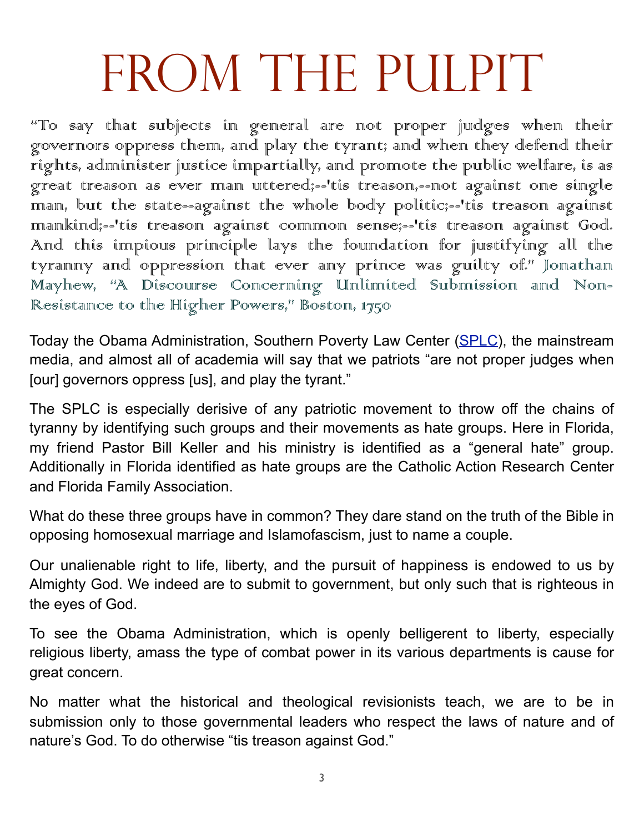### FROM THE PULPIT

"To say that subjects in general are not proper judges when their governors oppress them, and play the tyrant; and when they defend their rights, administer justice impartially, and promote the public welfare, is as great treason as ever man uttered;--'tis treason,--not against one single man, but the state--against the whole body politic;--'tis treason against mankind;--'tis treason against common sense;--'tis treason against God. And this impious principle lays the foundation for justifying all the tyranny and oppression that ever any prince was guilty of." Jonathan Mayhew, "A Discourse Concerning Unlimited Submission and Non-Resistance to the Higher Powers," Boston, 1750

Today the Obama Administration, Southern Poverty Law Center [\(SPLC\)](http://www.splcenter.org/get-informed/hate-map), the mainstream media, and almost all of academia will say that we patriots "are not proper judges when [our] governors oppress [us], and play the tyrant."

The SPLC is especially derisive of any patriotic movement to throw off the chains of tyranny by identifying such groups and their movements as hate groups. Here in Florida, my friend Pastor Bill Keller and his ministry is identified as a "general hate" group. Additionally in Florida identified as hate groups are the Catholic Action Research Center and Florida Family Association.

What do these three groups have in common? They dare stand on the truth of the Bible in opposing homosexual marriage and Islamofascism, just to name a couple.

Our unalienable right to life, liberty, and the pursuit of happiness is endowed to us by Almighty God. We indeed are to submit to government, but only such that is righteous in the eyes of God.

To see the Obama Administration, which is openly belligerent to liberty, especially religious liberty, amass the type of combat power in its various departments is cause for great concern.

No matter what the historical and theological revisionists teach, we are to be in submission only to those governmental leaders who respect the laws of nature and of nature's God. To do otherwise "tis treason against God."